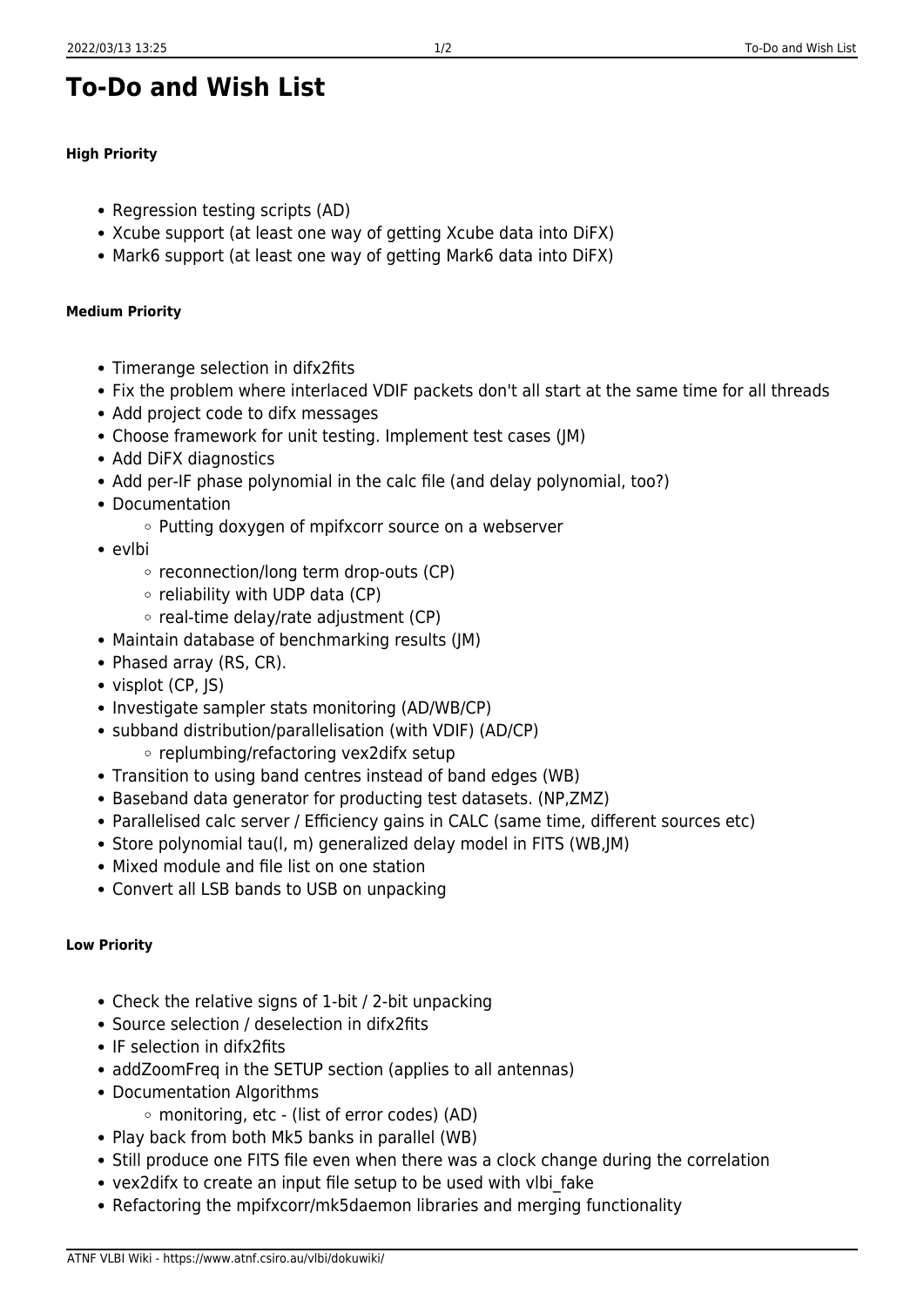## **To-Do and Wish List**

## **High Priority**

- Regression testing scripts (AD)
- Xcube support (at least one way of getting Xcube data into DiFX)
- Mark6 support (at least one way of getting Mark6 data into DiFX)

## **Medium Priority**

- Timerange selection in difx2fits
- Fix the problem where interlaced VDIF packets don't all start at the same time for all threads
- Add project code to difx messages
- Choose framework for unit testing. Implement test cases (JM)
- Add DiFX diagnostics
- Add per-IF phase polynomial in the calc file (and delay polynomial, too?)
- Documentation
	- $\circ$  Putting doxygen of mpifxcorr source on a webserver
- evlbi
	- $\circ$  reconnection/long term drop-outs (CP)
	- $\circ$  reliability with UDP data (CP)
	- $\circ$  real-time delay/rate adjustment (CP)
- Maintain database of benchmarking results (JM)
- Phased array (RS, CR).
- visplot (CP, JS)
- Investigate sampler stats monitoring (AD/WB/CP)
- subband distribution/parallelisation (with VDIF) (AD/CP)
	- replumbing/refactoring vex2difx setup
- Transition to using band centres instead of band edges (WB)
- Baseband data generator for producting test datasets. (NP,ZMZ)
- Parallelised calc server / Efficiency gains in CALC (same time, different sources etc)
- Store polynomial tau(I, m) generalized delay model in FITS (WB, IM)
- Mixed module and file list on one station
- Convert all LSB bands to USB on unpacking

## **Low Priority**

- Check the relative signs of 1-bit / 2-bit unpacking
- Source selection / deselection in difx2fits
- IF selection in difx2fits
- addZoomFreq in the SETUP section (applies to all antennas)
- Documentation Algorithms
	- monitoring, etc (list of error codes) (AD)
- Play back from both Mk5 banks in parallel (WB)
- Still produce one FITS file even when there was a clock change during the correlation
- vex2difx to create an input file setup to be used with vlbi\_fake
- Refactoring the mpifxcorr/mk5daemon libraries and merging functionality